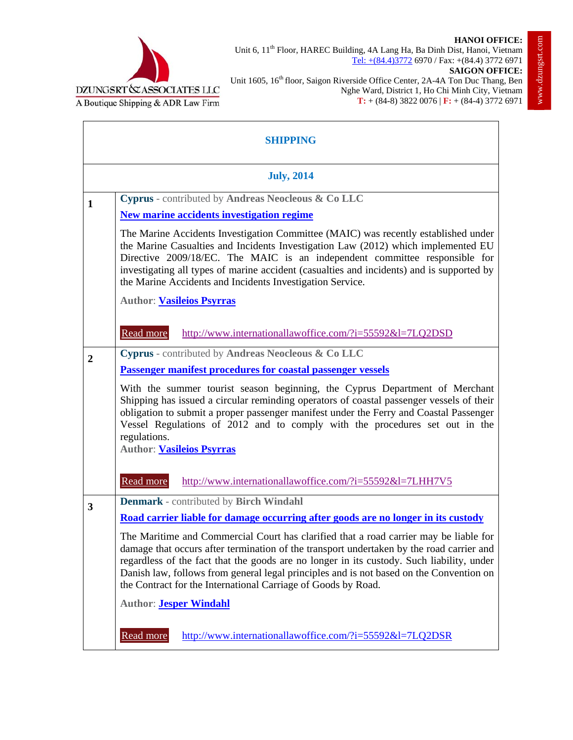



Unit 6, 11<sup>th</sup> Floor, HAREC Building, 4A Lang Ha, Ba Dinh Dist, Hanoi, Vietnam Tel: +(84.4)3772 6970 / Fax: +(84.4) 3772 6971

**SAIGON OFFICE:** Unit 1605, 16<sup>th</sup> floor, Saigon Riverside Office Center, 2A-4A Ton Duc Thang, Ben Nghe Ward, District 1, Ho Chi Minh City, Vietnam **T:** + (84-8) 3822 0076 | **F:** + (84-4) 3772 6971

| <b>SHIPPING</b>   |                                                                                                                                                                                                                                                                                                                                                                                                                                            |  |
|-------------------|--------------------------------------------------------------------------------------------------------------------------------------------------------------------------------------------------------------------------------------------------------------------------------------------------------------------------------------------------------------------------------------------------------------------------------------------|--|
| <b>July, 2014</b> |                                                                                                                                                                                                                                                                                                                                                                                                                                            |  |
| 1                 | Cyprus - contributed by Andreas Neocleous & Co LLC                                                                                                                                                                                                                                                                                                                                                                                         |  |
|                   | New marine accidents investigation regime                                                                                                                                                                                                                                                                                                                                                                                                  |  |
|                   | The Marine Accidents Investigation Committee (MAIC) was recently established under<br>the Marine Casualties and Incidents Investigation Law (2012) which implemented EU<br>Directive 2009/18/EC. The MAIC is an independent committee responsible for<br>investigating all types of marine accident (casualties and incidents) and is supported by<br>the Marine Accidents and Incidents Investigation Service.                            |  |
|                   | <b>Author: Vasileios Psyrras</b>                                                                                                                                                                                                                                                                                                                                                                                                           |  |
|                   | Read more<br>http://www.internationallawoffice.com/?i=55592&l=7LQ2DSD                                                                                                                                                                                                                                                                                                                                                                      |  |
| $\boldsymbol{2}$  | Cyprus - contributed by Andreas Neocleous & Co LLC                                                                                                                                                                                                                                                                                                                                                                                         |  |
|                   | <b>Passenger manifest procedures for coastal passenger vessels</b>                                                                                                                                                                                                                                                                                                                                                                         |  |
|                   | With the summer tourist season beginning, the Cyprus Department of Merchant<br>Shipping has issued a circular reminding operators of coastal passenger vessels of their<br>obligation to submit a proper passenger manifest under the Ferry and Coastal Passenger<br>Vessel Regulations of 2012 and to comply with the procedures set out in the<br>regulations.<br><b>Author: Vasileios Psyrras</b>                                       |  |
|                   | Read more<br>http://www.internationallawoffice.com/?i=55592&l=7LHH7V5                                                                                                                                                                                                                                                                                                                                                                      |  |
| 3                 | <b>Denmark</b> - contributed by Birch Windahl                                                                                                                                                                                                                                                                                                                                                                                              |  |
|                   | Road carrier liable for damage occurring after goods are no longer in its custody                                                                                                                                                                                                                                                                                                                                                          |  |
|                   | The Maritime and Commercial Court has clarified that a road carrier may be liable for<br>damage that occurs after termination of the transport undertaken by the road carrier and<br>regardless of the fact that the goods are no longer in its custody. Such liability, under<br>Danish law, follows from general legal principles and is not based on the Convention on<br>the Contract for the International Carriage of Goods by Road. |  |
|                   | <b>Author: Jesper Windahl</b>                                                                                                                                                                                                                                                                                                                                                                                                              |  |
|                   | Read more<br>http://www.internationallawoffice.com/?i=55592&l=7LQ2DSR                                                                                                                                                                                                                                                                                                                                                                      |  |